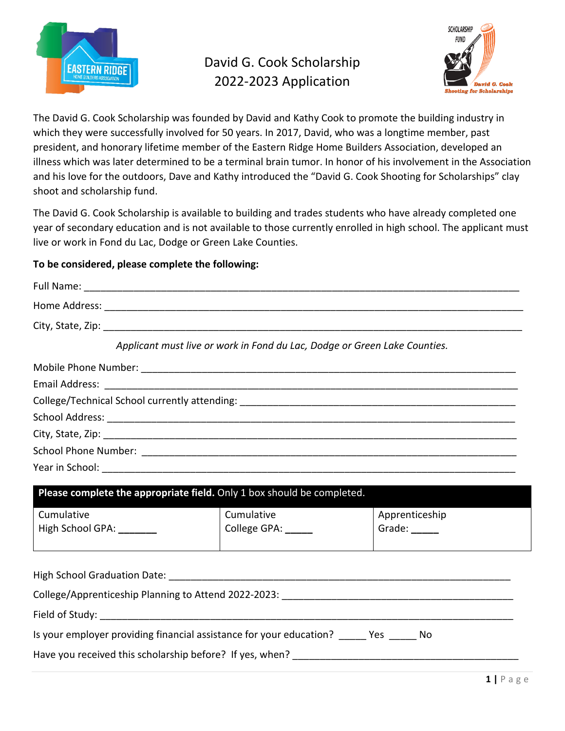

## David G. Cook Scholarship 2022-2023 Application



The David G. Cook Scholarship was founded by David and Kathy Cook to promote the building industry in which they were successfully involved for 50 years. In 2017, David, who was a longtime member, past president, and honorary lifetime member of the Eastern Ridge Home Builders Association, developed an illness which was later determined to be a terminal brain tumor. In honor of his involvement in the Association and his love for the outdoors, Dave and Kathy introduced the "David G. Cook Shooting for Scholarships" clay shoot and scholarship fund.

The David G. Cook Scholarship is available to building and trades students who have already completed one year of secondary education and is not available to those currently enrolled in high school. The applicant must live or work in Fond du Lac, Dodge or Green Lake Counties.

## **To be considered, please complete the following:**

|                                        | Applicant must live or work in Fond du Lac, Dodge or Green Lake Counties.              |                                        |
|----------------------------------------|----------------------------------------------------------------------------------------|----------------------------------------|
|                                        |                                                                                        |                                        |
|                                        |                                                                                        |                                        |
|                                        |                                                                                        |                                        |
|                                        |                                                                                        |                                        |
|                                        |                                                                                        |                                        |
|                                        |                                                                                        |                                        |
|                                        |                                                                                        |                                        |
|                                        | Please complete the appropriate field. Only 1 box should be completed.                 |                                        |
| Cumulative<br>High School GPA: _______ | Cumulative<br>College GPA: _____                                                       | Apprenticeship<br>Grade: $\frac{1}{2}$ |
|                                        |                                                                                        |                                        |
|                                        |                                                                                        |                                        |
|                                        |                                                                                        |                                        |
|                                        | Is your employer providing financial assistance for your education? _____ Yes _____ No |                                        |
|                                        |                                                                                        |                                        |